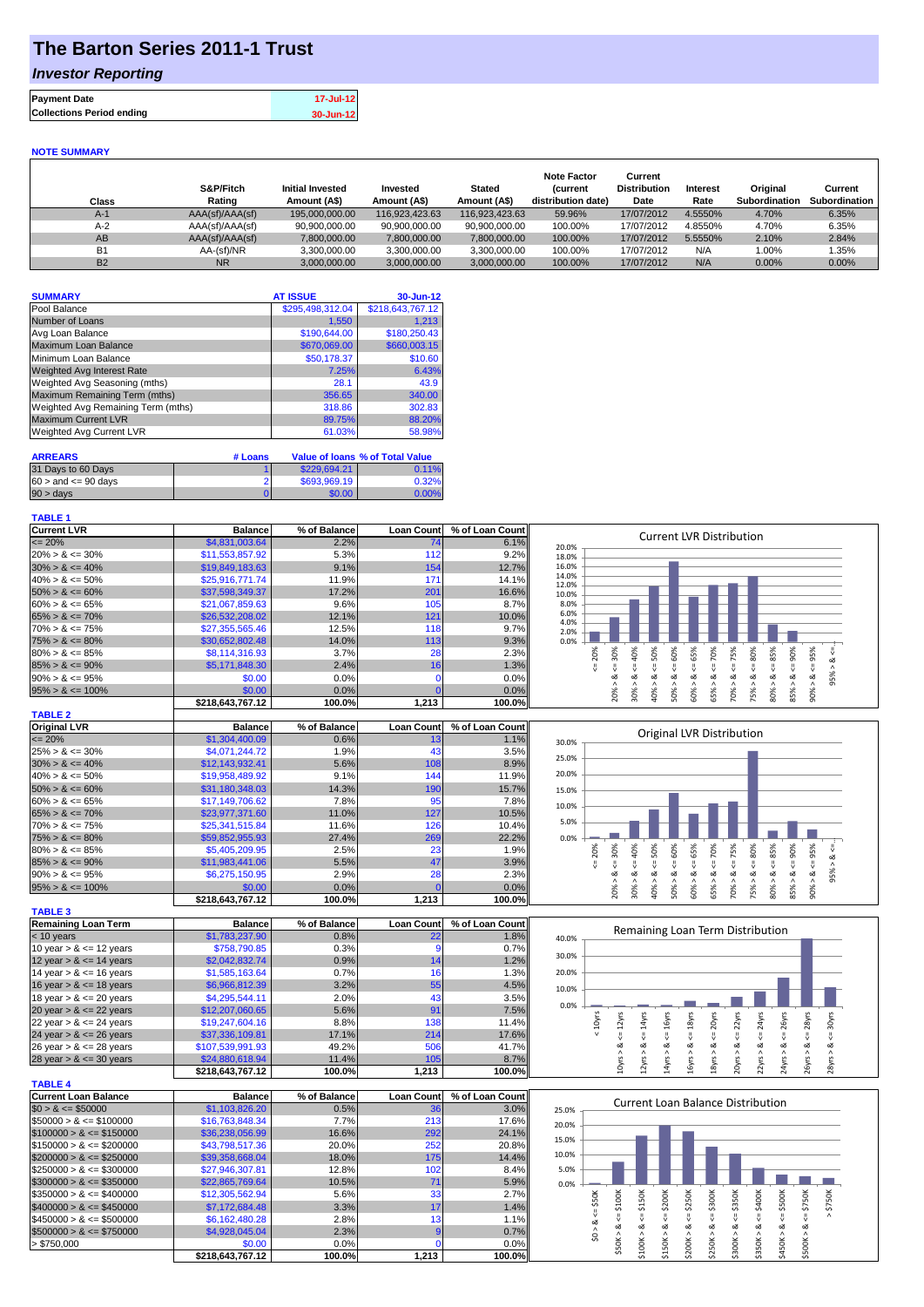## **The Barton Series 2011-1 Trust**

### *Investor Reporting*

| <b>Payment Date</b>              | 17-Jul-12 |
|----------------------------------|-----------|
| <b>Collections Period ending</b> | 30-Jun-12 |
|                                  |           |

#### **NOTE SUMMARY**

| Class     | S&P/Fitch<br>Rating | <b>Initial Invested</b><br>Amount (A\$) | Invested<br>Amount (A\$) | <b>Stated</b><br>Amount (A\$) | <b>Note Factor</b><br><b>Current</b><br>distribution date) | Current<br><b>Distribution</b><br>Date | Interest<br>Rate | Original<br>Subordination | Current<br>Subordination |
|-----------|---------------------|-----------------------------------------|--------------------------|-------------------------------|------------------------------------------------------------|----------------------------------------|------------------|---------------------------|--------------------------|
| $A-1$     | AAA(sf)/AAA(sf)     | 195,000,000.00                          | 116.923.423.63           | 116.923.423.63                | 59.96%                                                     | 17/07/2012                             | 4.5550%          | 4.70%                     | 6.35%                    |
| $A-2$     | AAA(sf)/AAA(sf)     | 90.900.000.00                           | 90.900.000.00            | 90.900.000.00                 | 100.00%                                                    | 17/07/2012                             | 4.8550%          | 4.70%                     | 6.35%                    |
| AB        | AAA(sf)/AAA(sf)     | 7,800,000.00                            | 7,800,000.00             | 7,800,000.00                  | 100.00%                                                    | 17/07/2012                             | 5.5550%          | 2.10%                     | 2.84%                    |
| <b>B1</b> | AA-(sf)/NR          | 3,300,000.00                            | 3.300.000.00             | 3.300.000.00                  | 100.00%                                                    | 17/07/2012                             | N/A              | $0.00\%$                  | $1.35\%$                 |
| <b>B2</b> | <b>NR</b>           | 3.000.000.00                            | 3.000.000.00             | 3.000.000.00                  | 100.00%                                                    | 17/07/2012                             | N/A              | $0.00\%$                  | $0.00\%$                 |

| <b>SUMMARY</b>                     | <b>AT ISSUE</b>  | 30-Jun-12        |
|------------------------------------|------------------|------------------|
| Pool Balance                       | \$295,498,312.04 | \$218,643,767.12 |
| Number of Loans                    | 1,550            | 1,213            |
| Avg Loan Balance                   | \$190,644.00     | \$180,250.43     |
| Maximum Loan Balance               | \$670,069.00     | \$660,003.15     |
| Minimum Loan Balance               | \$50,178.37      | \$10.60          |
| <b>Weighted Avg Interest Rate</b>  | 7.25%            | 6.43%            |
| Weighted Avg Seasoning (mths)      | 28.1             | 43.9             |
| Maximum Remaining Term (mths)      | 356.65           | 340.00           |
| Weighted Avg Remaining Term (mths) | 318.86           | 302.83           |
| <b>Maximum Current LVR</b>         | 89.75%           | 88.20%           |
| Weighted Avg Current LVR           | 61.03%           | 58.98%           |

| <b>ARREARS</b>            | # Loans |              | Value of Ioans % of Total Value |
|---------------------------|---------|--------------|---------------------------------|
| 31 Days to 60 Days        |         | \$229,694.21 | 0.11%                           |
| $60 >$ and $\leq 90$ days |         | \$693,969.19 | 0.32%                           |
| $90 > \text{days}$        |         | \$0.00       | 0.00%                           |

### **TABLE 1**

| <b>Current LVR</b>   | <b>Balance</b>   | % of Balance | <b>Loan Count</b> | % of Loan Count | <b>Current LVR Distribution</b>                                                                                            |
|----------------------|------------------|--------------|-------------------|-----------------|----------------------------------------------------------------------------------------------------------------------------|
| $\leq$ 20%           | \$4,831,003.64   | 2.2%         | 741               | 6.1%            | 20.0%                                                                                                                      |
| $20\% > 8 \le 30\%$  | \$11,553,857.92  | 5.3%         | 112               | 9.2%            | 18.0%                                                                                                                      |
| $30\% > 8 \le 40\%$  | \$19,849,183.63  | 9.1%         | 154               | 12.7%           | 16.0%                                                                                                                      |
| $40\% > 8 \le 50\%$  | \$25,916,771,74  | 11.9%        | 171               | 14.1%           | 14.0%<br>12.0%                                                                                                             |
| $50\% > 8 \le 60\%$  | \$37,598,349,37  | 17.2%        | 201               | 16.6%           | 10.0%                                                                                                                      |
| $60\% > 8 \le 65\%$  | \$21,067,859,63  | 9.6%         | 105               | 8.7%            | 8.0%                                                                                                                       |
| $65\% > 8 \le 70\%$  | \$26,532,208.02  | 12.1%        | 121               | 10.0%           | 6.0%<br>4.0%                                                                                                               |
| $70\% > 8 \le 75\%$  | \$27,355,565.46  | 12.5%        | 118               | 9.7%            | 2.0%                                                                                                                       |
| $75\% > 8 \le 80\%$  | \$30,652,802.48  | 14.0%        | 113               | 9.3%            | 0.0%                                                                                                                       |
| $80\% > 8 \le 85\%$  | \$8,114,316.93   | 3.7%         | 28                | 2.3%            | 20%<br>50%<br>70%<br>Š.<br>Ĥ.<br>င္တ<br>Ř<br>$\bar{\alpha}$                                                                |
| $85\% > 8 \le 90\%$  | \$5,171,848.30   | 2.4%         | 16 <sub>1</sub>   | 1.3%            |                                                                                                                            |
| $90\% > 8 \le 95\%$  | \$0.00           | 0.0%         |                   | 0.0%            | ∞<br>∝                                                                                                                     |
| $95\% > 8 \le 100\%$ | \$0.00           | $0.0\%$      |                   | 0.0%            | 0%<br>ò,<br>5%<br>š<br>္တိ<br>္တိ<br>ຮັ<br>ŝ<br>కి                                                                         |
|                      | \$218.643.767.12 | 100.0%       | 1,213             | 100.0%          | $\bar{N}$<br>ıñ<br>$\overline{0}$<br>$\overline{10}$<br>$\infty$<br>$\bar{\infty}$<br>$\overline{\phantom{a}}$<br>$\sigma$ |
| <b>TABLE O</b>       |                  |              |                   |                 |                                                                                                                            |

| $I$ $I$ $I$ $I$ $I$ $I$ $I$ $I$ $I$ $I$ $I$ |                  |              |                   |                 |       |             |      |     |     |      |         |                          |                           |    |        |  |
|---------------------------------------------|------------------|--------------|-------------------|-----------------|-------|-------------|------|-----|-----|------|---------|--------------------------|---------------------------|----|--------|--|
| <b>Original LVR</b>                         | <b>Balance</b>   | % of Balance | <b>Loan Count</b> | % of Loan Count |       |             |      |     |     |      |         |                          | Original LVR Distribution |    |        |  |
| $\leq$ 20%                                  | \$1,304,400.09   | 0.6%         |                   | 1.1%            | 30.0% |             |      |     |     |      |         |                          |                           |    |        |  |
| $25\% > 8 \le 30\%$                         | \$4,071,244.72   | 1.9%         |                   | 3.5%            | 25.0% |             |      |     |     |      |         |                          |                           |    |        |  |
| $30\% > 8 \le 40\%$                         | \$12,143,932.41  | 5.6%         | 108               | 8.9%            |       |             |      |     |     |      |         |                          |                           |    |        |  |
| $40\% > 8 \le 50\%$                         | \$19,958,489.92  | 9.1%         | 144               | 11.9%           | 20.0% |             |      |     |     |      |         |                          |                           |    |        |  |
| $50\% > 8 \le 60\%$                         | \$31,180,348.03  | 14.3%        | 190               | 15.7%           | 15.0% |             |      |     |     |      |         |                          |                           |    |        |  |
| $60\% > 8 \le 65\%$                         | \$17,149,706.62  | 7.8%         | 95                | 7.8%            | 10.0% |             |      |     |     |      |         |                          |                           |    |        |  |
| $65\% > 8 \le 70\%$                         | \$23,977,371,60  | 11.0%        | 127               | 10.5%           |       |             |      |     |     |      |         |                          |                           |    |        |  |
| $70\% > 8 \le 75\%$                         | \$25,341,515.84  | 11.6%        | 126               | 10.4%           | 5.0%  |             |      |     |     |      |         |                          |                           |    |        |  |
| $75\% > 8 \le 80\%$                         | \$59,852,955.93  | 27.4%        | 269               | 22.2%           | 0.0%  |             |      |     |     |      |         |                          |                           |    |        |  |
| $80\% > 8 \le 85\%$                         | \$5,405,209.95   | 2.5%         | 23                | 1.9%            |       | 20%         |      | 50% | 50% | Ū3   | $\circ$ | Ĥ.                       | 80%                       |    | %<br>Ř |  |
| $85\% > 8 \le 90\%$                         | \$11,983,441.06  | 5.5%         | 47                | 3.9%            |       |             |      |     |     |      |         |                          |                           |    |        |  |
| $90\% > 8 \le 95\%$                         | \$6,275,150.95   | 2.9%         | 28                | 2.3%            |       |             |      | ಹ   | ∞   |      |         |                          |                           |    | ∝      |  |
| $95\% > 8 \le 100\%$                        | \$0.00           | 0.0%         |                   | 0.0%            |       |             | స్లి | ĝ,  | ε   | ន្លិ | ິທ      | ఠ                        | s,                        | ê0 | 85%    |  |
|                                             | \$218.643.767.12 | 100.0%       | 1.213             | 100.0%          |       | $\tilde{c}$ |      |     |     |      | ιó.     | $\overline{\phantom{0}}$ | $\overline{\phantom{0}}$  |    | ခ္တ    |  |

| <b>TABLE 3</b>             |                  |              |                   |                 |
|----------------------------|------------------|--------------|-------------------|-----------------|
| <b>Remaining Loan Term</b> | <b>Balance</b>   | % of Balance | <b>Loan Count</b> | % of Loan Count |
| $<$ 10 years               | \$1,783,237.90   | 0.8%         | 22                | 1.8%            |
| 10 year $> 8 \le 12$ years | \$758,790.85     | 0.3%         |                   | 0.7%            |
| 12 year $> 8 \le 14$ years | \$2,042,832.74   | 0.9%         | 14                | 1.2%            |
| 14 year $> 8 \le 16$ years | \$1,585,163.64   | 0.7%         | 16                | 1.3%            |
| 16 year $> 8 \le 18$ years | \$6,966,812.39   | 3.2%         | 55                | 4.5%            |
| 18 year $> 8 \le 20$ years | \$4,295,544.11   | 2.0%         | 43                | 3.5%            |
| 20 year $> 8 \le 22$ years | \$12,207,060.65  | 5.6%         | 91                | 7.5%            |
| 22 year $> 8 \le 24$ years | \$19,247,604.16  | 8.8%         | 138               | 11.4%           |
| 24 year $> 8 \le 26$ years | \$37,336,109.81  | 17.1%        | 214               | 17.6%           |
| 26 year $> 8 \le 28$ years | \$107,539,991.93 | 49.2%        | 506               | 41.7%           |
| 28 year $> 8 \le 30$ years | \$24,880,618.94  | 11.4%        | 105               | 8.7%            |
|                            | \$218.643.767.12 | 100.0%       | 1.213             | 100.0%          |

| <b>TABLE 4</b>               |                  |              |            |                 |
|------------------------------|------------------|--------------|------------|-----------------|
| Current Loan Balance         | <b>Balance</b>   | % of Balance | Loan Count | % of Loan Count |
| $$0 > 8 \leq $50000$         | \$1,103,826,20   | 0.5%         | 36         | 3.0%            |
| $$50000 > 8 \leq $100000$    | \$16,763,848,34  | 7.7%         | 213        | 17.6%           |
| $$100000 > 8 \leq $150000$   | \$36,238,056.99  | 16.6%        | 292        | 24.1%           |
| $$150000 > 8 \leq $200000$   | \$43.798.517.36  | 20.0%        | 252        | 20.8%           |
| $$200000 > 8 \leq $250000$   | \$39.358.668.04  | 18.0%        | 175        | 14.4%           |
| $$250000 > 8 \leq $300000$   | \$27.946.307.81  | 12.8%        | 102        | 8.4%            |
| $$300000 > 8 \leq $350000$   | \$22,865,769.64  | 10.5%        | 71         | 5.9%            |
| $\$350000 > 8 \leq \$400000$ | \$12,305,562.94  | 5.6%         | 33         | 2.7%            |
| $$400000 > 8 \leq $450000$   | \$7,172,684,48   | 3.3%         | 17         | 1.4%            |
| $$450000 > 8 \leq $500000$   | \$6,162,480.28   | 2.8%         | 13         | 1.1%            |
| $$500000 > 8 \leq $750000$   | \$4,928,045.04   | 2.3%         | 9          | 0.7%            |
| > \$750,000                  | \$0.00           | 0.0%         |            | 0.0%            |
|                              | \$218.643.767.12 | 100.0%       | 1.213      | 100.0%          |